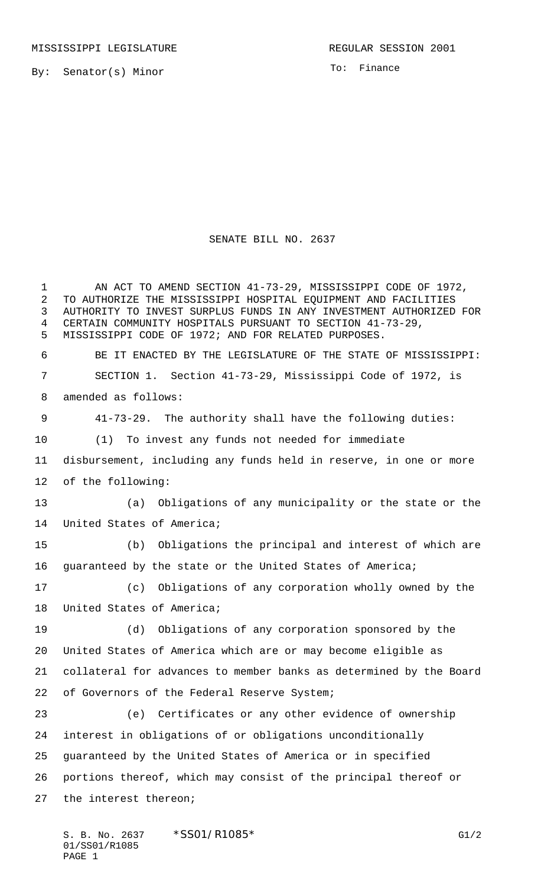By: Senator(s) Minor

To: Finance

## SENATE BILL NO. 2637

1 AN ACT TO AMEND SECTION 41-73-29, MISSISSIPPI CODE OF 1972, TO AUTHORIZE THE MISSISSIPPI HOSPITAL EQUIPMENT AND FACILITIES AUTHORITY TO INVEST SURPLUS FUNDS IN ANY INVESTMENT AUTHORIZED FOR CERTAIN COMMUNITY HOSPITALS PURSUANT TO SECTION 41-73-29, MISSISSIPPI CODE OF 1972; AND FOR RELATED PURPOSES. BE IT ENACTED BY THE LEGISLATURE OF THE STATE OF MISSISSIPPI: SECTION 1. Section 41-73-29, Mississippi Code of 1972, is amended as follows: 41-73-29. The authority shall have the following duties: (1) To invest any funds not needed for immediate disbursement, including any funds held in reserve, in one or more of the following: (a) Obligations of any municipality or the state or the United States of America; (b) Obligations the principal and interest of which are guaranteed by the state or the United States of America; (c) Obligations of any corporation wholly owned by the United States of America; (d) Obligations of any corporation sponsored by the United States of America which are or may become eligible as collateral for advances to member banks as determined by the Board of Governors of the Federal Reserve System; (e) Certificates or any other evidence of ownership interest in obligations of or obligations unconditionally guaranteed by the United States of America or in specified portions thereof, which may consist of the principal thereof or the interest thereon;

S. B. No. 2637 \* SS01/R1085\* G1/2 01/SS01/R1085 PAGE 1